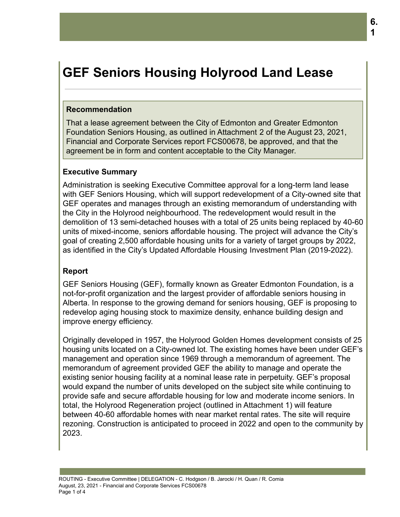# **GEF Seniors Housing Holyrood Land Lease**

#### **Recommendation**

That a lease agreement between the City of Edmonton and Greater Edmonton Foundation Seniors Housing, as outlined in Attachment 2 of the August 23, 2021, Financial and Corporate Services report FCS00678, be approved, and that the agreement be in form and content acceptable to the City Manager.

### **Executive Summary**

Administration is seeking Executive Committee approval for a long-term land lease with GEF Seniors Housing, which will support redevelopment of a City-owned site that GEF operates and manages through an existing memorandum of understanding with the City in the Holyrood neighbourhood. The redevelopment would result in the demolition of 13 semi-detached houses with a total of 25 units being replaced by 40-60 units of mixed-income, seniors affordable housing. The project will advance the City's goal of creating 2,500 affordable housing units for a variety of target groups by 2022, as identified in the City's Updated Affordable Housing Investment Plan (2019-2022).

#### **Report**

GEF Seniors Housing (GEF), formally known as Greater Edmonton Foundation, is a not-for-profit organization and the largest provider of affordable seniors housing in Alberta. In response to the growing demand for seniors housing, GEF is proposing to redevelop aging housing stock to maximize density, enhance building design and improve energy efficiency.

Originally developed in 1957, the Holyrood Golden Homes development consists of 25 housing units located on a City-owned lot. The existing homes have been under GEF's management and operation since 1969 through a memorandum of agreement. The memorandum of agreement provided GEF the ability to manage and operate the existing senior housing facility at a nominal lease rate in perpetuity. GEF's proposal would expand the number of units developed on the subject site while continuing to provide safe and secure affordable housing for low and moderate income seniors. In total, the Holyrood Regeneration project (outlined in Attachment 1) will feature between 40-60 affordable homes with near market rental rates. The site will require rezoning. Construction is anticipated to proceed in 2022 and open to the community by 2023.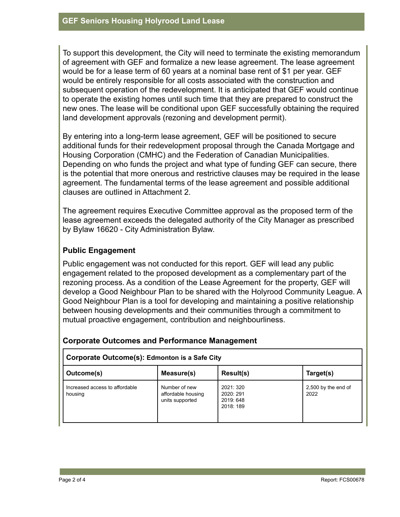To support this development, the City will need to terminate the existing memorandum of agreement with GEF and formalize a new lease agreement. The lease agreement would be for a lease term of 60 years at a nominal base rent of \$1 per year. GEF would be entirely responsible for all costs associated with the construction and subsequent operation of the redevelopment. It is anticipated that GEF would continue to operate the existing homes until such time that they are prepared to construct the new ones. The lease will be conditional upon GEF successfully obtaining the required land development approvals (rezoning and development permit).

By entering into a long-term lease agreement, GEF will be positioned to secure additional funds for their redevelopment proposal through the Canada Mortgage and Housing Corporation (CMHC) and the Federation of Canadian Municipalities. Depending on who funds the project and what type of funding GEF can secure, there is the potential that more onerous and restrictive clauses may be required in the lease agreement. The fundamental terms of the lease agreement and possible additional clauses are outlined in Attachment 2.

The agreement requires Executive Committee approval as the proposed term of the lease agreement exceeds the delegated authority of the City Manager as prescribed by Bylaw 16620 - City Administration Bylaw.

# **Public Engagement**

Public engagement was not conducted for this report. GEF will lead any public engagement related to the proposed development as a complementary part of the rezoning process. As a condition of the Lease Agreement for the property, GEF will develop a Good Neighbour Plan to be shared with the Holyrood Community League. A Good Neighbour Plan is a tool for developing and maintaining a positive relationship between housing developments and their communities through a commitment to mutual proactive engagement, contribution and neighbourliness.

| Corporate Outcome(s): Edmonton is a Safe City |                                                        |           |                             |  |  |  |  |
|-----------------------------------------------|--------------------------------------------------------|-----------|-----------------------------|--|--|--|--|
| Outcome(s)                                    | Measure(s)                                             | Result(s) | Target(s)                   |  |  |  |  |
| Increased access to affordable<br>housing     | Number of new<br>affordable housing<br>units supported |           | 2,500 by the end of<br>2022 |  |  |  |  |

### **Corporate Outcomes and Performance Management**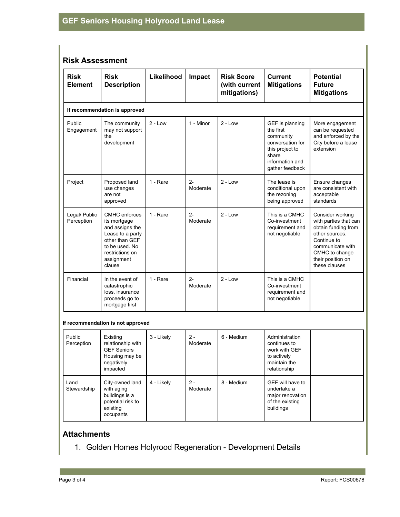# **Risk Assessment**

| <b>Risk</b><br><b>Element</b> | <b>Risk</b><br><b>Description</b>                                                                                                                   | Likelihood | Impact            | <b>Risk Score</b><br>(with current<br>mitigations) | <b>Current</b><br><b>Mitigations</b>                                                                                            | <b>Potential</b><br><b>Future</b><br><b>Mitigations</b>                                                                                                                       |  |  |  |
|-------------------------------|-----------------------------------------------------------------------------------------------------------------------------------------------------|------------|-------------------|----------------------------------------------------|---------------------------------------------------------------------------------------------------------------------------------|-------------------------------------------------------------------------------------------------------------------------------------------------------------------------------|--|--|--|
| If recommendation is approved |                                                                                                                                                     |            |                   |                                                    |                                                                                                                                 |                                                                                                                                                                               |  |  |  |
| Public<br>Engagement          | The community<br>may not support<br>the<br>development                                                                                              | $2 - Low$  | 1 - Minor         | $2 - Low$                                          | GEF is planning<br>the first<br>community<br>conversation for<br>this project to<br>share<br>information and<br>gather feedback | More engagement<br>can be requested<br>and enforced by the<br>City before a lease<br>extension                                                                                |  |  |  |
| Project                       | Proposed land<br>use changes<br>are not<br>approved                                                                                                 | 1 - Rare   | $2 -$<br>Moderate | $2 - Low$                                          | The lease is<br>conditional upon<br>the rezoning<br>being approved                                                              | Ensure changes<br>are consistent with<br>acceptable<br>standards                                                                                                              |  |  |  |
| Legal/ Public<br>Perception   | CMHC enforces<br>its mortgage<br>and assigns the<br>Lease to a party<br>other than GEF<br>to be used. No<br>restrictions on<br>assignment<br>clause | 1 - Rare   | $2 -$<br>Moderate | $2 - Low$                                          | This is a CMHC<br>Co-investment<br>requirement and<br>not negotiable                                                            | Consider working<br>with parties that can<br>obtain funding from<br>other sources.<br>Continue to<br>communicate with<br>CMHC to change<br>their position on<br>these clauses |  |  |  |
| Financial                     | In the event of<br>catastrophic<br>loss, insurance<br>proceeds go to<br>mortgage first                                                              | 1 - Rare   | $2 -$<br>Moderate | $2 - Low$                                          | This is a CMHC<br>Co-investment<br>requirement and<br>not negotiable                                                            |                                                                                                                                                                               |  |  |  |

#### **If recommendation is not approved**

| Public<br>Perception | Existing<br>relationship with<br><b>GEF Seniors</b><br>Housing may be<br>negatively<br>impacted | 3 - Likely | $2 -$<br>Moderate | 6 - Medium | Administration<br>continues to<br>work with GEF<br>to actively<br>maintain the<br>relationship |  |
|----------------------|-------------------------------------------------------------------------------------------------|------------|-------------------|------------|------------------------------------------------------------------------------------------------|--|
| Land<br>Stewardship  | City-owned land<br>with aging<br>buildings is a<br>potential risk to<br>existing<br>occupants   | 4 - Likely | $2 -$<br>Moderate | 8 - Medium | GEF will have to<br>undertake a<br>major renovation<br>of the existing<br>buildings            |  |

# **Attachments**

1. Golden Homes Holyrood Regeneration - Development Details